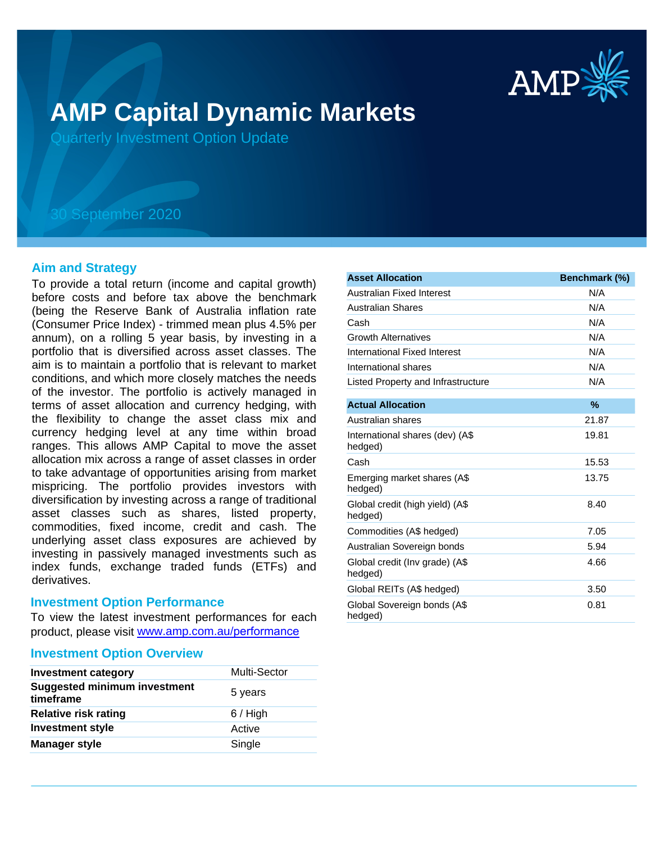

# **AMP Capital Dynamic Markets**

Quarterly Investment Option Update

## 30 September 2020

## **Aim and Strategy**

To provide a total return (income and capital growth) before costs and before tax above the benchmark (being the Reserve Bank of Australia inflation rate (Consumer Price Index) - trimmed mean plus 4.5% per annum), on a rolling 5 year basis, by investing in a portfolio that is diversified across asset classes. The aim is to maintain a portfolio that is relevant to market conditions, and which more closely matches the needs of the investor. The portfolio is actively managed in terms of asset allocation and currency hedging, with the flexibility to change the asset class mix and currency hedging level at any time within broad ranges. This allows AMP Capital to move the asset allocation mix across a range of asset classes in order to take advantage of opportunities arising from market mispricing. The portfolio provides investors with diversification by investing across a range of traditional asset classes such as shares, listed property, commodities, fixed income, credit and cash. The underlying asset class exposures are achieved by investing in passively managed investments such as index funds, exchange traded funds (ETFs) and derivatives.

## **Investment Option Performance**

To view the latest investment performances for each product, please visit www.amp.com.au/performance

## **Investment Option Overview**

| <b>Investment category</b>                       | <b>Multi-Sector</b> |
|--------------------------------------------------|---------------------|
| <b>Suggested minimum investment</b><br>timeframe | 5 years             |
| <b>Relative risk rating</b>                      | $6/$ High           |
| <b>Investment style</b>                          | Active              |
| <b>Manager style</b>                             | Single              |

| <b>Asset Allocation</b>                    | Benchmark (%) |
|--------------------------------------------|---------------|
| Australian Fixed Interest                  | N/A           |
| <b>Australian Shares</b>                   | N/A           |
| Cash                                       | N/A           |
| <b>Growth Alternatives</b>                 | N/A           |
| International Fixed Interest               | N/A           |
| International shares                       | N/A           |
| Listed Property and Infrastructure         | N/A           |
| <b>Actual Allocation</b>                   | $\%$          |
| Australian shares                          | 21.87         |
| International shares (dev) (A\$<br>hedged) | 19.81         |
| Cash                                       | 15.53         |
| Emerging market shares (A\$<br>hedged)     | 13.75         |
| Global credit (high yield) (A\$<br>hedged) | 8.40          |
| Commodities (A\$ hedged)                   | 7.05          |
| Australian Sovereign bonds                 | 5.94          |
| Global credit (Inv grade) (A\$<br>hedged)  | 4.66          |
| Global REITs (A\$ hedged)                  | 3.50          |
| Global Sovereign bonds (A\$<br>hedged)     | 0.81          |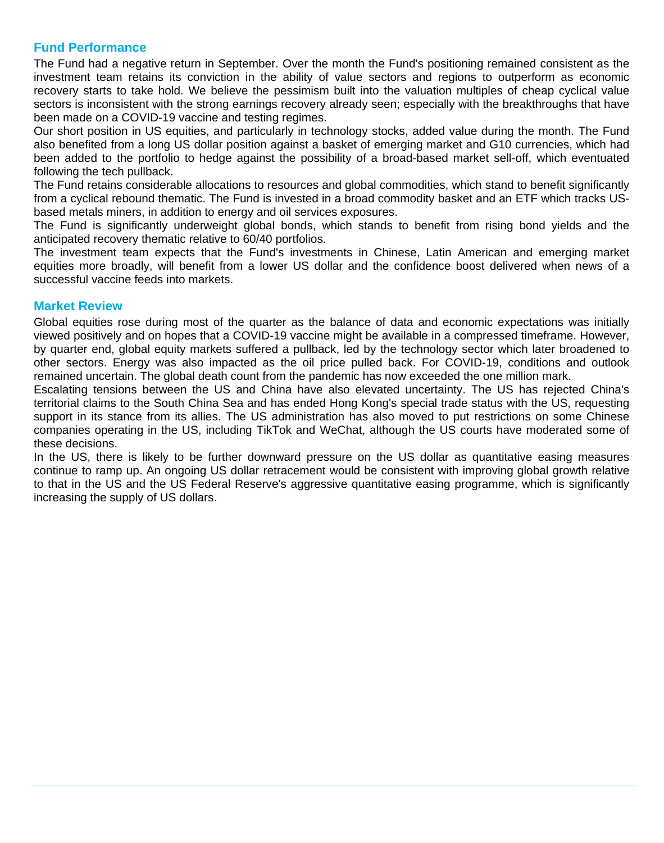## **Fund Performance**

The Fund had a negative return in September. Over the month the Fund's positioning remained consistent as the investment team retains its conviction in the ability of value sectors and regions to outperform as economic recovery starts to take hold. We believe the pessimism built into the valuation multiples of cheap cyclical value sectors is inconsistent with the strong earnings recovery already seen; especially with the breakthroughs that have been made on a COVID-19 vaccine and testing regimes.

Our short position in US equities, and particularly in technology stocks, added value during the month. The Fund also benefited from a long US dollar position against a basket of emerging market and G10 currencies, which had been added to the portfolio to hedge against the possibility of a broad-based market sell-off, which eventuated following the tech pullback.

The Fund retains considerable allocations to resources and global commodities, which stand to benefit significantly from a cyclical rebound thematic. The Fund is invested in a broad commodity basket and an ETF which tracks USbased metals miners, in addition to energy and oil services exposures.

The Fund is significantly underweight global bonds, which stands to benefit from rising bond yields and the anticipated recovery thematic relative to 60/40 portfolios.

The investment team expects that the Fund's investments in Chinese, Latin American and emerging market equities more broadly, will benefit from a lower US dollar and the confidence boost delivered when news of a successful vaccine feeds into markets.

## **Market Review**

Global equities rose during most of the quarter as the balance of data and economic expectations was initially viewed positively and on hopes that a COVID-19 vaccine might be available in a compressed timeframe. However, by quarter end, global equity markets suffered a pullback, led by the technology sector which later broadened to other sectors. Energy was also impacted as the oil price pulled back. For COVID-19, conditions and outlook remained uncertain. The global death count from the pandemic has now exceeded the one million mark.

Escalating tensions between the US and China have also elevated uncertainty. The US has rejected China's territorial claims to the South China Sea and has ended Hong Kong's special trade status with the US, requesting support in its stance from its allies. The US administration has also moved to put restrictions on some Chinese companies operating in the US, including TikTok and WeChat, although the US courts have moderated some of these decisions.

In the US, there is likely to be further downward pressure on the US dollar as quantitative easing measures continue to ramp up. An ongoing US dollar retracement would be consistent with improving global growth relative to that in the US and the US Federal Reserve's aggressive quantitative easing programme, which is significantly increasing the supply of US dollars.